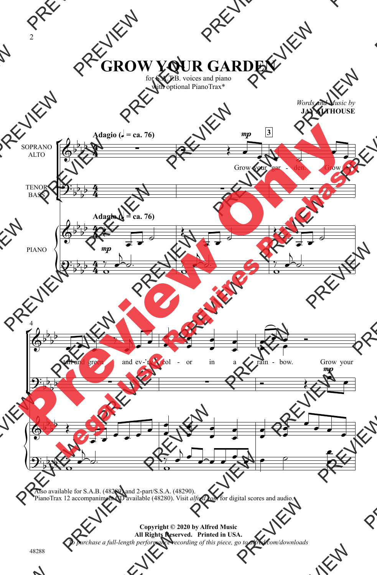## **GROW YOUR GARDEN**

for S.A.T.B. voices and piano with optional PianoTrax\*

> *Words and Music by* **JAY ALTHOUSE**

° ¢  $\left\{\right\}$ ° ¢  $\left\{\right\}$ Adagio ( $\sqrt{ }$  = ca. 76) Adagio ( $\sqrt{ }$  = ca. 76) **3** SOPRANO ALTO **TENOR** BASS PIANO 4 4  $\frac{4}{4}$ 4  $\frac{4}{4}$ 4  $\frac{4}{4}$ 4  $\frac{4}{4}$  $\overline{\mathbb{Q}^{\flat}}$ b b  $\frac{1}{4}$  -Grow your gar - den. Grow it mp  $\mathbf{\mathcal{Y}}^{\mathbf{:}}_{\flat}$ b b b∑ ∑ ∑  $\overline{\mathbb{Q}^{\flat}}$ b b b  $\mathbf{\mathcal{Y}}^{\mathbf{:}}_{\flat}$ b b b mp  $\overline{\mathbb{Q}^{\flat}}$ b b b tall and green and ev-'r $\sqrt{vol}$  - or in a rain - bow.  $2^{\frac{1}{2}}$ b b  $\sum_{i=1}^n \frac{1}{i}$ Grow your mp  $\ddot{\Phi}$ b b b  $\mathbf{\mathcal{Y}}^{\mathbf{:}}_{\flat}$ b b b <del>∟</del>  $\frac{2}{\pi}$   $\frac{2}{\pi}$   $\frac{2}{\pi}$   $\frac{2}{\pi}$   $\frac{2}{\pi}$   $\frac{2}{\pi}$   $\frac{2}{\pi}$   $\frac{2}{\pi}$   $\frac{2}{\pi}$   $\frac{2}{\pi}$   $\frac{2}{\pi}$   $\frac{2}{\pi}$   $\frac{2}{\pi}$   $\frac{2}{\pi}$   $\frac{2}{\pi}$   $\frac{2}{\pi}$   $\frac{2}{\pi}$   $\frac{2}{\pi}$   $\frac{2}{\pi}$   $\frac{2}{\pi}$   $\frac{1}{\mathbf{O}}$  $\frac{1}{2}$  $\overline{b}$  $\overline{\phantom{a}}$ ‰ œ j  $\frac{1}{2}$  $\frac{1}{2}$  $\overline{b}$ ˙. <sup>œ</sup> <sup>œ</sup> <sup>œ</sup> ‰ <sup>œ</sup> **year** <sup>œ</sup> <sup>œ</sup>  $\frac{1}{2}$ <sup>œ</sup> <sup>œ</sup> <sup>œ</sup> <sup>œ</sup>  $\overline{\phantom{a}}$  $\frac{1}{\rho}$  $\begin{array}{c} \begin{array}{c} m_P \\ \hline \end{array} \end{array}$ Œ  $\frac{1}{2}$ <sup>œ</sup> <sup>œ</sup> <sup>œ</sup> <sup>œ</sup>  $\qquad \qquad \bullet$ <sup>œ</sup> <sup>œ</sup> œ œ  $\cdot$   $\cdot$   $\cdot$   $\cdot$  $\frac{1}{\mathbf{O}}$ ъ j  $\frac{1}{\sqrt{2}}$  $\frac{1}{7}$  $\sqrt{2\pi\sigma^2}$  extends to  $\sigma$ œ **CROWYOUR GARDE**<br>
FINAL MORE CARD PREVIEW PREVIEW PREVIEW PREVIEW PREVIEW PREVIEW PREVIEW PREVIEW PREVIEW PREVIEW PREVIEW PREVIEW PREVIEW PREVIEW PREVIEW PREVIEW PREVIEW PREVIEW PREVIEW PREVIEW PREVIEW PREVIEW PREVIEW PRE SPRANG  $\left(\frac{d^2y^2y}{dx^2y^2}\right)^{A\log(y)/2-\alpha, 2\alpha}$ PREVIEW YOUR GARDEN PREVIEW PREVIEW PREVIEW PREVIEW PREVIEW PREVIEW PREVIEW PREVIEW PREVIEW PREVIEW PREVIEW PREVIEW PREVIEW PREVIEW PREVIEW PREVIEW PREVIEW PREVIEW PREVIEW PREVIEW PREVIEW PREVIEW PREVIEW PREVIEW PREVIEW PREVIEW PREVIEW PREVIE PREVIEW PREVIEW PREVIEW PREVIEW PREVIEW PREVIEW PREVIEW PREVIEW PREVIEW PREVIEW PREVIEW PREVIEW PREVIEW PREVIEW PREVIEW PREVIEW PREVIEW PREVIEW PREVIEW PREVIEW PREVIEW PREVIEW PREVIEW PREVIEW PREVIEW PREVIEW PREVIEW PREVIE PREVIEW PREVIEW PREVIEW PREVIEW PREVIEW PREVIEW PREVIEW PREVIEW PREVIEW PREVIEW PREVIEW PREVIEW PREVIEW PREVIEW PREVIEW PREVIEW PREVIEW PREVIEW PREVIEW PREVIEW PREVIEW PREVIEW PREVIEW PREVIEW PREVIEW PREVIEW PREVIEW PREVIE PREVIEW PREVIEW PREVIEW PREVIEW PREVIEW PREVIEW PREVIEW PREVIEW PREVIEW PREVIEW PREVIEW PREVIEW PREVIEW PREVIEW PREVIEW PREVIEW PREVIEW PREVIEW PREVIEW PREVIEW PREVIEW PREVIEW PREVIEW PREVIEW PREVIEW PREVIEW PREVIEW PREVIE PREVIEW PREVIEW PREVIEW PREVIEW PREVIEW PREVIEW PREVIEW PREVIEW PREVIEW PREVIEW PREVIEW PREVIEW PREVIEW PREVIEW PREVIEW PREVIEW PREVIEW PREVIEW PREVIEW PREVIEW PREVIEW PREVIEW PREVIEW PREVIEW PREVIEW PREVIEW PREVIEW PREVIEW PREVIEW PREVIEW PREVIEW PREVIEW PREVIEW PREVIEW PREVI Preview Preview Preview Preview Preview Preview Preview Preview Preview Preview Preview Preview Preview Preview Preview Preview Preview Preview Preview Preview Preview Preview Preview Preview Preview Preview Preview Previ PREVIEW PREVIEW PREVIEW PREVIEW PREVIEW PREVIEW PREVIEW PREVIEW PREVIEW PREVIEW PREVIEW PREVIEW PREVIEW PREVIEW PREVIEW PREVIEW PREVIEW PREVIEW PREVIEW PREVIEW PREVIEW PREVIEW PREVIEW PREVIEW PREVIEW PREVIEW PREVIEW PREVIE Marco  $\frac{2}{2}$ <br>
Preview  $\frac{2}{2}$ <br>
Preview  $\frac{2}{2}$ <br>
Preview  $\frac{2}{2}$ <br>
Preview  $\frac{2}{2}$ <br>
Preview  $\frac{2}{2}$ <br>
Preview  $\frac{2}{2}$ <br>
Preview  $\frac{2}{2}$ <br>
Preview  $\frac{2}{2}$ <br>
Preview  $\frac{2}{2}$ <br>
Preview  $\frac{2}{2}$ <br>
Preview  $\frac{2}{$  $2^{1/3}$ 

\* Also available for S.A.B. (48289) and 2-part/S.S.A. (48290). PianoTrax 12 accompaniment CD available (48280). Visit *alfred.com* for digital scores and audio.

## **Copyright © 2020 by Alfred Music All Rights Reserved. Printed in USA.** *To purchase a full-length performance recording of this piece, go to alfred.com/downloads*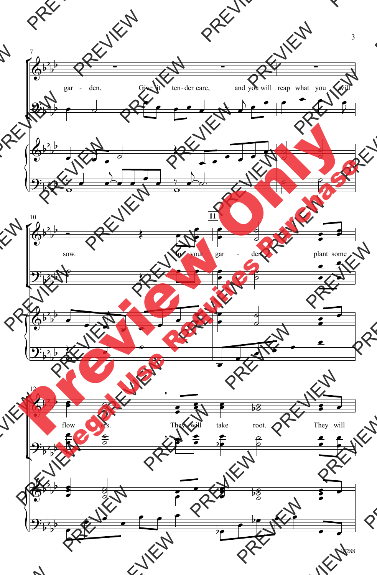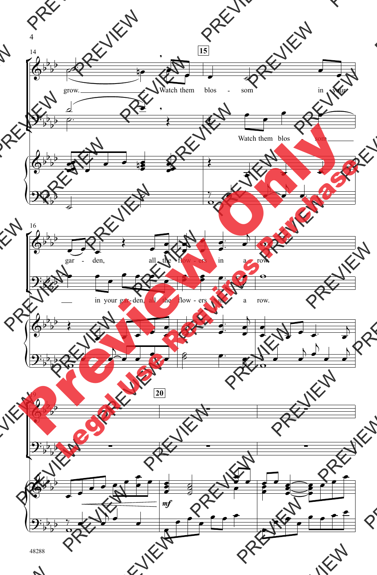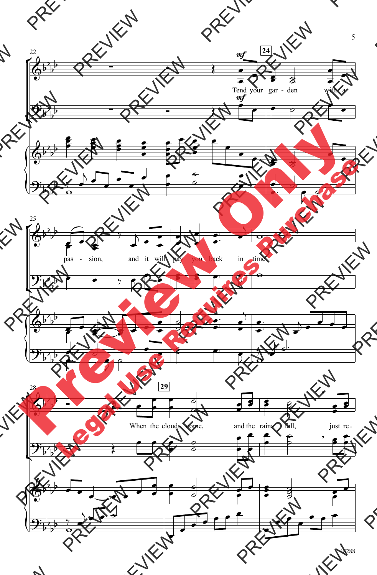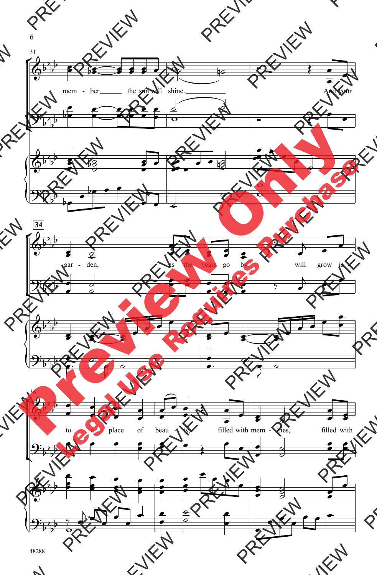